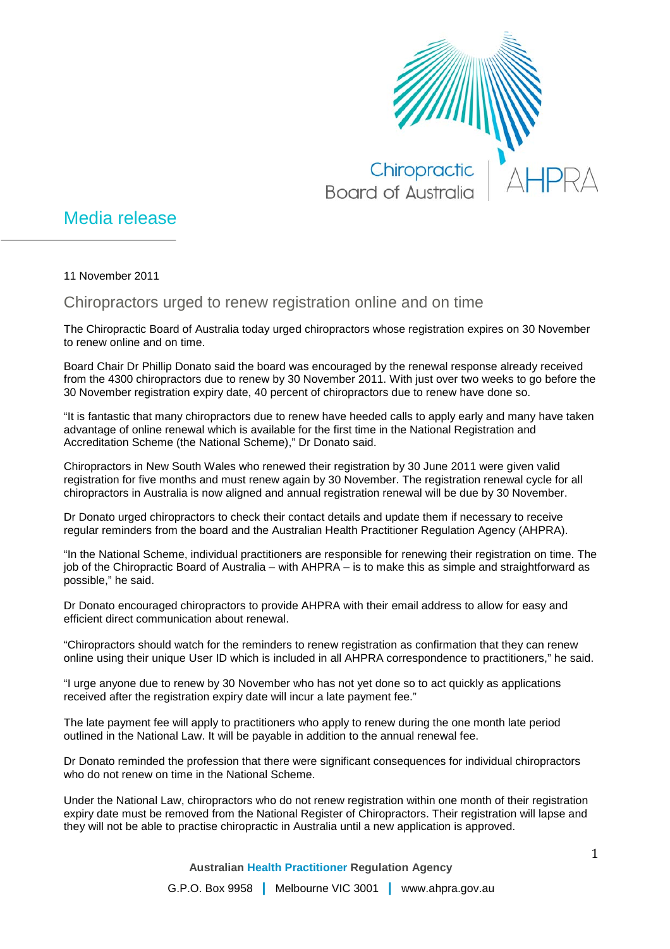

## Media release

11 November 2011

## Chiropractors urged to renew registration online and on time

The Chiropractic Board of Australia today urged chiropractors whose registration expires on 30 November to renew online and on time.

Board Chair Dr Phillip Donato said the board was encouraged by the renewal response already received from the 4300 chiropractors due to renew by 30 November 2011. With just over two weeks to go before the 30 November registration expiry date, 40 percent of chiropractors due to renew have done so.

"It is fantastic that many chiropractors due to renew have heeded calls to apply early and many have taken advantage of online renewal which is available for the first time in the National Registration and Accreditation Scheme (the National Scheme)," Dr Donato said.

Chiropractors in New South Wales who renewed their registration by 30 June 2011 were given valid registration for five months and must renew again by 30 November. The registration renewal cycle for all chiropractors in Australia is now aligned and annual registration renewal will be due by 30 November.

Dr Donato urged chiropractors to check their contact details and update them if necessary to receive regular reminders from the board and the Australian Health Practitioner Regulation Agency (AHPRA).

"In the National Scheme, individual practitioners are responsible for renewing their registration on time. The job of the Chiropractic Board of Australia – with AHPRA – is to make this as simple and straightforward as possible," he said.

Dr Donato encouraged chiropractors to provide AHPRA with their email address to allow for easy and efficient direct communication about renewal.

"Chiropractors should watch for the reminders to renew registration as confirmation that they can renew online using their unique User ID which is included in all AHPRA correspondence to practitioners," he said.

"I urge anyone due to renew by 30 November who has not yet done so to act quickly as applications received after the registration expiry date will incur a late payment fee."

The late payment fee will apply to practitioners who apply to renew during the one month late period outlined in the National Law. It will be payable in addition to the annual renewal fee.

Dr Donato reminded the profession that there were significant consequences for individual chiropractors who do not renew on time in the National Scheme.

Under the National Law, chiropractors who do not renew registration within one month of their registration expiry date must be removed from the National Register of Chiropractors. Their registration will lapse and they will not be able to practise chiropractic in Australia until a new application is approved.

**Australian Health Practitioner Regulation Agency**